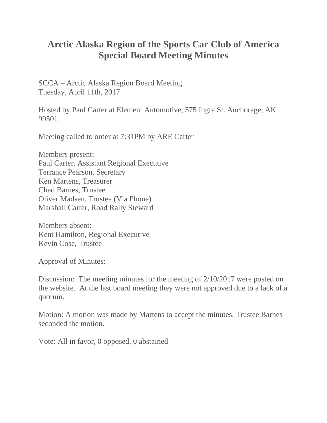## **Arctic Alaska Region of the Sports Car Club of America Special Board Meeting Minutes**

SCCA – Arctic Alaska Region Board Meeting Tuesday, April 11th, 2017

Hosted by Paul Carter at Element Automotive, 575 Ingra St. Anchorage, AK 99501.

Meeting called to order at 7:31PM by ARE Carter

Members present: Paul Carter, Assistant Regional Executive Terrance Pearson, Secretary Ken Martens, Treasurer Chad Barnes, Trustee Oliver Madsen, Trustee (Via Phone) Marshall Carter, Road Rally Steward

Members absent: Kent Hamilton, Regional Executive Kevin Cose, Trustee

Approval of Minutes:

Discussion: The meeting minutes for the meeting of 2/10/2017 were posted on the website. At the last board meeting they were not approved due to a lack of a quorum.

Motion: A motion was made by Martens to accept the minutes. Trustee Barnes seconded the motion.

Vote: All in favor, 0 opposed, 0 abstained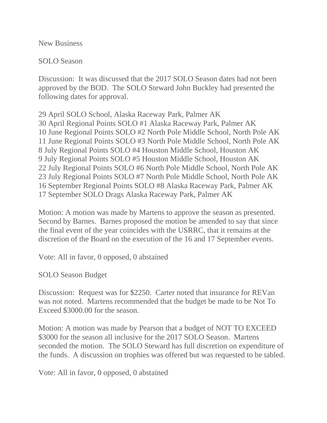New Business

SOLO Season

Discussion: It was discussed that the 2017 SOLO Season dates had not been approved by the BOD. The SOLO Steward John Buckley had presented the following dates for approval.

29 April SOLO School, Alaska Raceway Park, Palmer AK 30 April Regional Points SOLO #1 Alaska Raceway Park, Palmer AK 10 June Regional Points SOLO #2 North Pole Middle School, North Pole AK 11 June Regional Points SOLO #3 North Pole Middle School, North Pole AK 8 July Regional Points SOLO #4 Houston Middle School, Houston AK 9 July Regional Points SOLO #5 Houston Middle School, Houston AK 22 July Regional Points SOLO #6 North Pole Middle School, North Pole AK 23 July Regional Points SOLO #7 North Pole Middle School, North Pole AK 16 September Regional Points SOLO #8 Alaska Raceway Park, Palmer AK 17 September SOLO Drags Alaska Raceway Park, Palmer AK

Motion: A motion was made by Martens to approve the season as presented. Second by Barnes. Barnes proposed the motion be amended to say that since the final event of the year coincides with the USRRC, that it remains at the discretion of the Board on the execution of the 16 and 17 September events.

Vote: All in favor, 0 opposed, 0 abstained

SOLO Season Budget

Discussion: Request was for \$2250. Carter noted that insurance for REVan was not noted. Martens recommended that the budget be made to be Not To Exceed \$3000.00 for the season.

Motion: A motion was made by Pearson that a budget of NOT TO EXCEED \$3000 for the season all inclusive for the 2017 SOLO Season. Martens seconded the motion. The SOLO Steward has full discretion on expenditure of the funds. A discussion on trophies was offered but was requested to be tabled.

Vote: All in favor, 0 opposed, 0 abstained